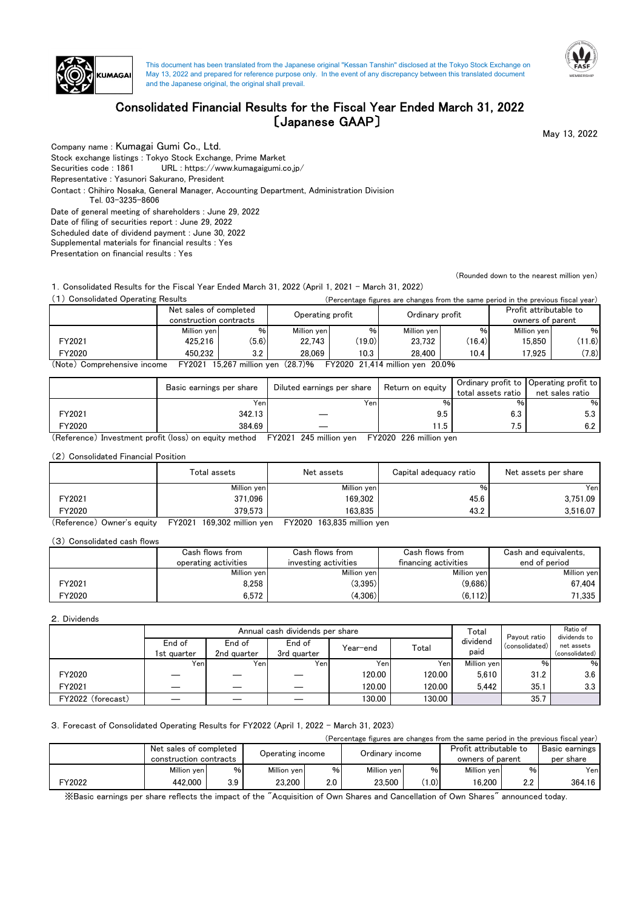

This document has been translated from the Japanese original "Kessan Tanshin" disclosed at the Tokyo Stock Exchange on May 13, 2022 and prepared for reference purpose only. In the event of any discrepancy between this translated document and the Japanese original, the original shall prevail.



# Consolidated Financial Results for the Fiscal Year Ended March 31, 2022 〔Japanese GAAP〕

May 13, 2022

Company name : Kumagai Gumi Co., Ltd.

Stock exchange listings : Tokyo Stock Exchange, Prime Market

Securities code : 1861 URL : https://www.kumagaigumi.co.jp/

Representative : Yasunori Sakurano, President

Contact : Chihiro Nosaka, General Manager, Accounting Department, Administration Division

Tel. 03-3235-8606

Date of general meeting of shareholders : June 29, 2022

Date of filing of securities report : June 29, 2022

Supplemental materials for financial results : Yes Scheduled date of dividend payment : June 30, 2022

Presentation on financial results : Yes

(Rounded down to the nearest million yen)

1.Consolidated Results for the Fiscal Year Ended March 31, 2022 (April 1, 2021 - March 31, 2022)

| (1) Consolidated Operating Results |                        | (Percentage figures are changes from the same period in the previous fiscal year) |                  |        |                                 |        |                        |        |
|------------------------------------|------------------------|-----------------------------------------------------------------------------------|------------------|--------|---------------------------------|--------|------------------------|--------|
|                                    | Net sales of completed |                                                                                   |                  |        | Ordinary profit                 |        | Profit attributable to |        |
|                                    | construction contracts |                                                                                   | Operating profit |        |                                 |        | owners of parent       |        |
|                                    | Million ven            | $\%$                                                                              | Million ven      | $\%$   | Million ven                     | %      | Million ven            | %      |
| FY2021                             | 425.216                | (5.6)                                                                             | 22.743           | (19.0) | 23.732                          | (16.4) | 15.850                 | (11.6) |
| FY2020                             | 450.232                | 3.2                                                                               | 28.069           | 10.3   | 28.400                          | 10.4   | 17.925                 | (7.8)  |
| (Note) Comprehensive income        | FY2021                 | 15,267 million yen (28.7)%                                                        |                  |        | FY2020 21,414 million yen 20.0% |        |                        |        |

|        | Basic earnings per share | Diluted earnings per share | Return on equity | total assets ratio | Ordinary profit to Operating profit to<br>net sales ratio |
|--------|--------------------------|----------------------------|------------------|--------------------|-----------------------------------------------------------|
|        | Yen                      | Yenl                       | ℅                | %۱                 | %                                                         |
| FY2021 | 342.13                   |                            | 9.5              | 6.3                | 5.3                                                       |
| FY2020 | 384.69                   |                            | 11.5             | .ט                 | 6.2                                                       |

(Reference) Investment profit (loss) on equity method FY2021 245 million yen FY2020 226 million yen

(2) Consolidated Financial Position

|        | Total assets | Net assets  | Capital adequacy ratio | Net assets per share |  |
|--------|--------------|-------------|------------------------|----------------------|--|
|        | Million yen  | Million yen | %                      | Yen                  |  |
| FY2021 | 371.096      | 169.302     | 45.6                   | 3.751.09             |  |
| FY2020 | 379.573      | 163.835     | 43.2                   | 3.516.07             |  |

(Reference) Owner's equity FY2021 169,302 million yen FY2020 163,835 million yen

(3) Consolidated cash flows

|        | Cash flows from<br>operating activities | Cash flows from<br>investing activities | Cash flows from<br>financing activities | Cash and equivalents,<br>end of period |  |
|--------|-----------------------------------------|-----------------------------------------|-----------------------------------------|----------------------------------------|--|
|        | Million yen                             | Million ven                             | Million ven                             | Million yen                            |  |
| FY2021 | 8.258                                   | (3,395)                                 | (9,686)                                 | 67.404                                 |  |
| FY2020 | 6.572                                   | (4,306)                                 | (6.112)                                 | 71.335                                 |  |

2.Dividends

|                   | Annual cash dividends per share |                       |                       |                  |        |                  |                                | Ratio of<br>dividends to     |
|-------------------|---------------------------------|-----------------------|-----------------------|------------------|--------|------------------|--------------------------------|------------------------------|
|                   | End of<br>1st auarter           | End of<br>2nd quarter | End of<br>3rd quarter | Year–end         | Total  | dividend<br>paid | Pavout ratio<br>(consolidated) | net assets<br>(consolidated) |
|                   | Yeni                            | Yeni                  | Yen                   | Yen <sub>1</sub> | Yenl   | Million ven      | %                              | %                            |
| FY2020            |                                 |                       |                       | 120.00           | 120.00 | 5.610            | 31.2                           | 3.6                          |
| FY2021            |                                 |                       |                       | 120.00           | 120.00 | 5.442            | 35.1                           | 3.3                          |
| FY2022 (forecast) |                                 |                       |                       | 130.00           | 130.00 |                  | 35.7                           |                              |

### 3.Forecast of Consolidated Operating Results for FY2022 (April 1, 2022 - March 31, 2023)

| (Percentage figures are changes from the same period in the previous fiscal year) |                        |      |             |                  |             |                 |                  |                        |                |
|-----------------------------------------------------------------------------------|------------------------|------|-------------|------------------|-------------|-----------------|------------------|------------------------|----------------|
|                                                                                   | Net sales of completed |      |             |                  |             | Ordinary income |                  | Profit attributable to | Basic earnings |
|                                                                                   | construction contracts |      |             | Operating income |             |                 | owners of parent |                        | per share      |
|                                                                                   | Million ven            | $\%$ | Million yen | $\%$             | Million ven | %               | Million ven      | $\%$                   | Yenl           |
| FY2022                                                                            | 442.000                | 3.9  | 23,200      | 2.0              | 23.500      | 1.0)            | 16.200           | 2.2                    | 364.16         |

※Basic earnings per share reflects the impact of the "Acquisition of Own Shares and Cancellation of Own Shares" announced today.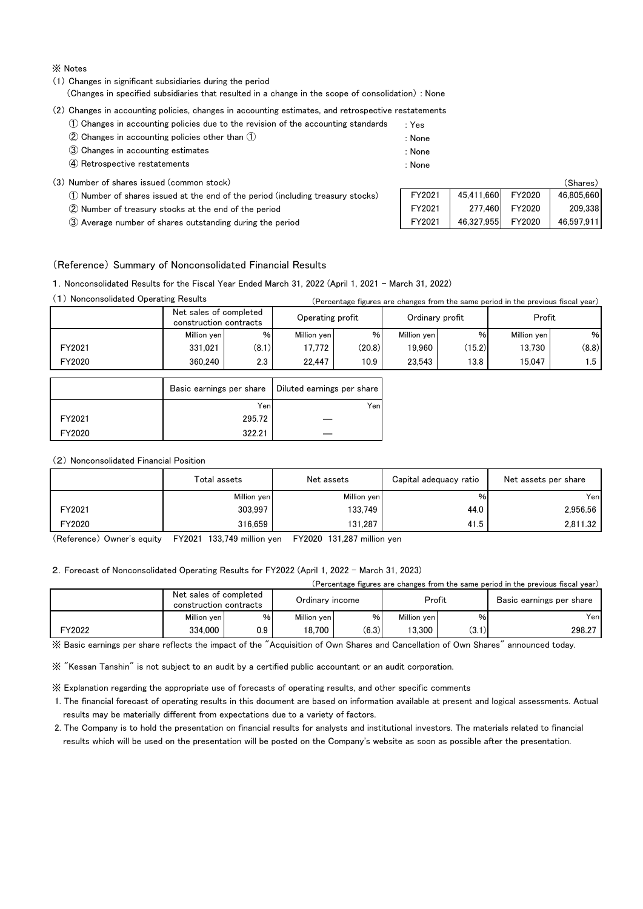※ Notes

(1) Changes in significant subsidiaries during the period

(Changes in specified subsidiaries that resulted in a change in the scope of consolidation) : None

(2) Changes in accounting policies, changes in accounting estimates, and retrospective restatements

- ① Changes in accounting policies due to the revision of the accounting standards : Yes
- ② Changes in accounting policies other than ① : None
- ③ Changes in accounting estimates : None ④ Retrospective restatements : None
	- -

|  |  |  |  |  | (3) Number of shares issued (common stock) |  |
|--|--|--|--|--|--------------------------------------------|--|
|--|--|--|--|--|--------------------------------------------|--|

- ① Number of shares issued at the end of the period (including treasury stocks)
- ② Number of treasury stocks at the end of the period
- ③ Average number of shares outstanding during the period

|        |            |        | (Shares)   |
|--------|------------|--------|------------|
| FY2021 | 45,411,660 | FY2020 | 46,805,660 |
| FY2021 | 277,460    | FY2020 | 209,338    |
| FY2021 | 46,327,955 | FY2020 | 46,597,911 |

#### (Reference) Summary of Nonconsolidated Financial Results

1.Nonconsolidated Results for the Fiscal Year Ended March 31, 2022 (April 1, 2021 - March 31, 2022)

| Nonconsolidated Operating Results |                                                  |       |                  |                   |                 |        | (Percentage figures are changes from the same period in the previous fiscal year) |       |
|-----------------------------------|--------------------------------------------------|-------|------------------|-------------------|-----------------|--------|-----------------------------------------------------------------------------------|-------|
|                                   | Net sales of completed<br>construction contracts |       | Operating profit |                   | Ordinary profit |        | Profit                                                                            |       |
|                                   | Million ven                                      | $\%$  | Million ven      | %                 | Million ven     | $\%$   | Million ven                                                                       | $\%$  |
| FY2021                            | 331.021                                          | (8.1) | 17.772           | (20.8)            | 19.960          | (15.2) | 13.730                                                                            | (8.8) |
| FY2020                            | 360.240                                          | 2.3   | 22.447           | 10.9 <sub>1</sub> | 23.543          | 13.8   | 15.047                                                                            | l.5 I |

|        | Basic earnings per share | Diluted earnings per share |
|--------|--------------------------|----------------------------|
|        | Yen                      | Yen                        |
| FY2021 | 295.72                   |                            |
| FY2020 | 322.21                   |                            |

#### (2) Nonconsolidated Financial Position

|        | Total assets | Net assets  | Capital adequacy ratio | Net assets per share |  |
|--------|--------------|-------------|------------------------|----------------------|--|
|        | Million yen  | Million yen | %                      | Yenl                 |  |
| FY2021 | 303.997      | 133.749     | 44.0                   | 2.956.56             |  |
| FY2020 | 316.659      | 131.287     | 41.5                   | 2.811.32             |  |

(Reference) Owner's equity FY2021 133,749 million yen FY2020 131,287 million yen

#### 2.Forecast of Nonconsolidated Operating Results for FY2022 (April 1, 2022 - March 31, 2023)

|                              | .Percentage | e figures are changes from the same period in the previous fiscal vear). |
|------------------------------|-------------|--------------------------------------------------------------------------|
| completed<br>Net<br>sales of |             | $\blacksquare$                                                           |

|        | <b>NEL SAIGS OF COMPRETER</b><br>construction contracts |     |             | Ordinarv income |             | Profit            | Basic earnings per share |  |
|--------|---------------------------------------------------------|-----|-------------|-----------------|-------------|-------------------|--------------------------|--|
|        | Million ven                                             | %   | Million ven | %               | Million ven | %.                | Yenl                     |  |
| FY2022 | 334.000                                                 | 0.9 | 18.700      | (6.3)           | 3.300       | (0.1)<br>. J. I J | 298.27                   |  |

※ Basic earnings per share reflects the impact of the "Acquisition of Own Shares and Cancellation of Own Shares" announced today.

※ "Kessan Tanshin" is not subject to an audit by a certified public accountant or an audit corporation.

※ Explanation regarding the appropriate use of forecasts of operating results, and other specific comments

 1. The financial forecast of operating results in this document are based on information available at present and logical assessments. Actual results may be materially different from expectations due to a variety of factors.

 2. The Company is to hold the presentation on financial results for analysts and institutional investors. The materials related to financial results which will be used on the presentation will be posted on the Company's website as soon as possible after the presentation.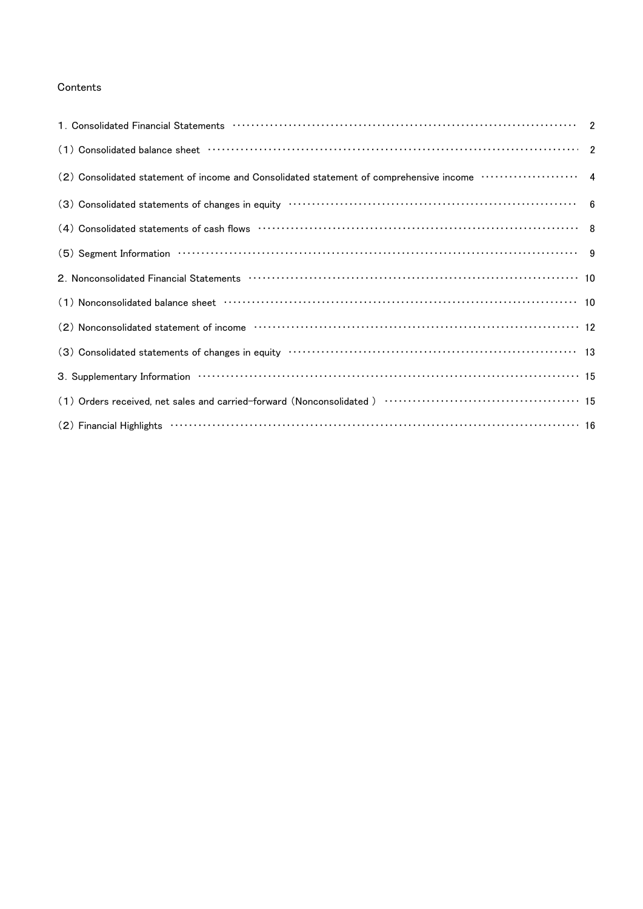## Contents

| (2) Consolidated statement of income and Consolidated statement of comprehensive income ····················· 4                                                                                                                |  |
|--------------------------------------------------------------------------------------------------------------------------------------------------------------------------------------------------------------------------------|--|
|                                                                                                                                                                                                                                |  |
|                                                                                                                                                                                                                                |  |
| $(5)$ Segment Information $\cdots$ $\cdots$ $\cdots$ $\cdots$ $\cdots$ $\cdots$ $\cdots$ $\cdots$ $\cdots$ $\cdots$ $\cdots$ $\cdots$ $\cdots$ $\cdots$ $\cdots$ $\cdots$ $\cdots$ $\cdots$                                    |  |
| 2. Nonconsolidated Financial Statements (1000) (100) (100) (100) (100) (100) (100) (100) (100) (100) (100) (10                                                                                                                 |  |
|                                                                                                                                                                                                                                |  |
|                                                                                                                                                                                                                                |  |
|                                                                                                                                                                                                                                |  |
| 3. Supplementary Information (1999) 15 and the control of the state of the state of the state of the state of the state of the state of the state of the state of the state of the state of the state of the state of the stat |  |
|                                                                                                                                                                                                                                |  |
| $(2)$ Financial Highlights $\cdots$ $\cdots$ $\cdots$ $\cdots$ $\cdots$ $\cdots$ $\cdots$ $\cdots$ $\cdots$ $\cdots$ $\cdots$ $\cdots$ $\cdots$ $\cdots$ $\cdots$ $\cdots$ $\cdots$ $\cdots$ $\cdots$ $\cdots$                 |  |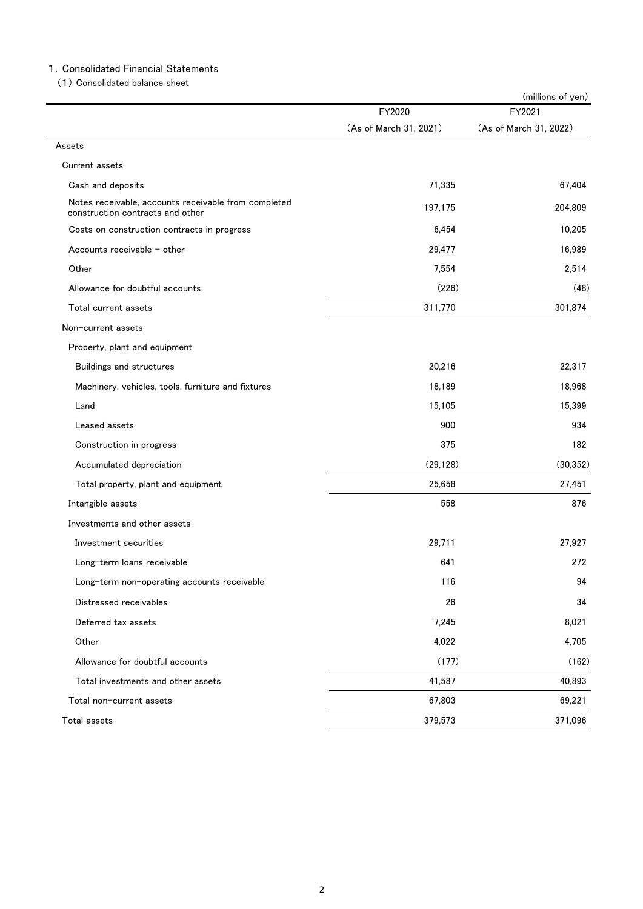## 1.Consolidated Financial Statements

(1) Consolidated balance sheet

|                                                                                          |                        | (millions of yen)      |
|------------------------------------------------------------------------------------------|------------------------|------------------------|
|                                                                                          | FY2020                 | FY2021                 |
|                                                                                          | (As of March 31, 2021) | (As of March 31, 2022) |
| Assets                                                                                   |                        |                        |
| Current assets                                                                           |                        |                        |
| Cash and deposits                                                                        | 71,335                 | 67,404                 |
| Notes receivable, accounts receivable from completed<br>construction contracts and other | 197,175                | 204,809                |
| Costs on construction contracts in progress                                              | 6,454                  | 10,205                 |
| Accounts receivable $-$ other                                                            | 29,477                 | 16,989                 |
| Other                                                                                    | 7,554                  | 2,514                  |
| Allowance for doubtful accounts                                                          | (226)                  | (48)                   |
| Total current assets                                                                     | 311,770                | 301,874                |
| Non-current assets                                                                       |                        |                        |
| Property, plant and equipment                                                            |                        |                        |
| Buildings and structures                                                                 | 20,216                 | 22,317                 |
| Machinery, vehicles, tools, furniture and fixtures                                       | 18,189                 | 18,968                 |
| Land                                                                                     | 15,105                 | 15,399                 |
| Leased assets                                                                            | 900                    | 934                    |
| Construction in progress                                                                 | 375                    | 182                    |
| Accumulated depreciation                                                                 | (29, 128)              | (30, 352)              |
| Total property, plant and equipment                                                      | 25,658                 | 27,451                 |
| Intangible assets                                                                        | 558                    | 876                    |
| Investments and other assets                                                             |                        |                        |
| Investment securities                                                                    | 29,711                 | 27,927                 |
| Long-term loans receivable                                                               | 641                    | 272                    |
| Long-term non-operating accounts receivable                                              | 116                    | 94                     |
| Distressed receivables                                                                   | 26                     | 34                     |
| Deferred tax assets                                                                      | 7,245                  | 8,021                  |
| Other                                                                                    | 4,022                  | 4,705                  |
| Allowance for doubtful accounts                                                          | (177)                  | (162)                  |
| Total investments and other assets                                                       | 41,587                 | 40,893                 |
| Total non-current assets                                                                 | 67,803                 | 69,221                 |
| Total assets                                                                             | 379,573                | 371,096                |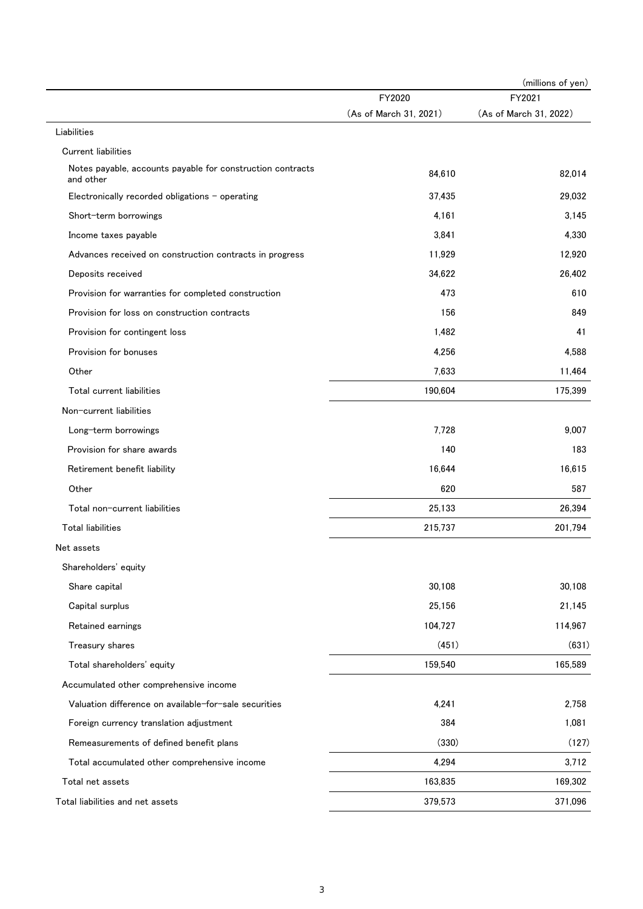|                                                                                          |                        | (millions of yen)      |
|------------------------------------------------------------------------------------------|------------------------|------------------------|
|                                                                                          | FY2020                 | FY2021                 |
|                                                                                          | (As of March 31, 2021) | (As of March 31, 2022) |
| Liabilities                                                                              |                        |                        |
| <b>Current liabilities</b><br>Notes payable, accounts payable for construction contracts |                        |                        |
| and other                                                                                | 84,610                 | 82,014                 |
| Electronically recorded obligations - operating                                          | 37.435                 | 29,032                 |
| Short-term borrowings                                                                    | 4,161                  | 3,145                  |
| Income taxes payable                                                                     | 3,841                  | 4,330                  |
| Advances received on construction contracts in progress                                  | 11,929                 | 12,920                 |
| Deposits received                                                                        | 34,622                 | 26,402                 |
| Provision for warranties for completed construction                                      | 473                    | 610                    |
| Provision for loss on construction contracts                                             | 156                    | 849                    |
| Provision for contingent loss                                                            | 1,482                  | 41                     |
| Provision for bonuses                                                                    | 4,256                  | 4,588                  |
| Other                                                                                    | 7,633                  | 11,464                 |
| Total current liabilities                                                                | 190,604                | 175,399                |
| Non-current liabilities                                                                  |                        |                        |
| Long-term borrowings                                                                     | 7,728                  | 9,007                  |
| Provision for share awards                                                               | 140                    | 183                    |
| Retirement benefit liability                                                             | 16,644                 | 16,615                 |
| Other                                                                                    | 620                    | 587                    |
| Total non-current liabilities                                                            | 25,133                 | 26,394                 |
| <b>Total liabilities</b>                                                                 | 215,737                | 201,794                |
| Net assets                                                                               |                        |                        |
| Shareholders' equity                                                                     |                        |                        |
| Share capital                                                                            | 30,108                 | 30,108                 |
| Capital surplus                                                                          | 25,156                 | 21,145                 |
| Retained earnings                                                                        | 104,727                | 114,967                |
| Treasury shares                                                                          | (451)                  | (631)                  |
| Total shareholders' equity                                                               | 159,540                | 165,589                |
| Accumulated other comprehensive income                                                   |                        |                        |
| Valuation difference on available-for-sale securities                                    | 4,241                  | 2,758                  |
| Foreign currency translation adjustment                                                  | 384                    | 1,081                  |
| Remeasurements of defined benefit plans                                                  | (330)                  | (127)                  |
| Total accumulated other comprehensive income                                             | 4,294                  | 3,712                  |
| Total net assets                                                                         | 163,835                | 169,302                |
| Total liabilities and net assets                                                         | 379,573                | 371,096                |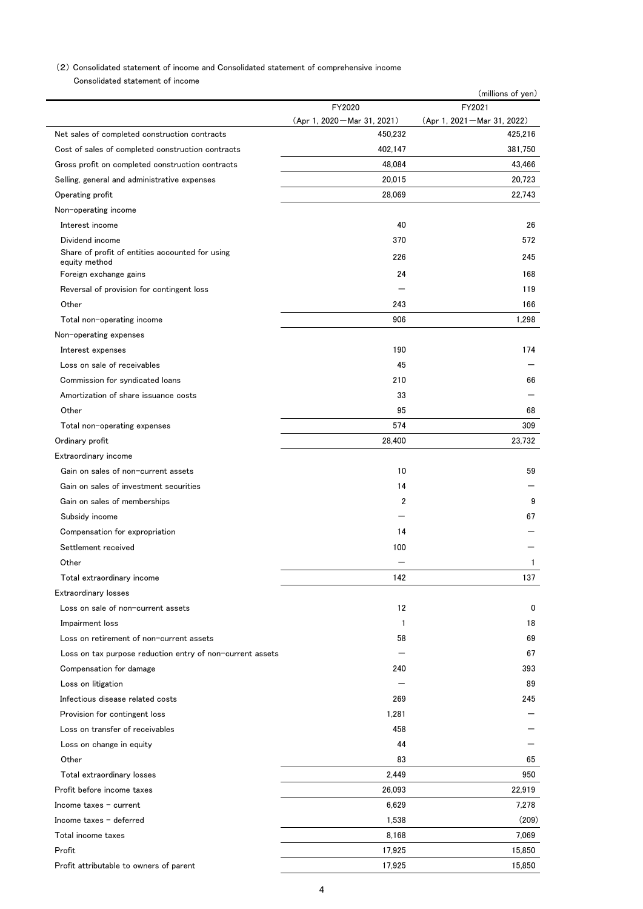### (2) Consolidated statement of income and Consolidated statement of comprehensive income

Consolidated statement of income

|                                                                  |                              | (millions of yen)              |
|------------------------------------------------------------------|------------------------------|--------------------------------|
|                                                                  | FY2020                       | FY2021                         |
|                                                                  | (Apr 1, 2020 – Mar 31, 2021) | $(Apr 1, 2021 - Mar 31, 2022)$ |
| Net sales of completed construction contracts                    | 450,232                      | 425,216                        |
| Cost of sales of completed construction contracts                | 402,147                      | 381,750                        |
| Gross profit on completed construction contracts                 | 48,084                       | 43.466                         |
| Selling, general and administrative expenses                     | 20,015                       | 20,723                         |
| Operating profit                                                 | 28.069                       | 22,743                         |
| Non-operating income                                             |                              |                                |
| Interest income                                                  | 40                           | 26                             |
| Dividend income                                                  | 370                          | 572                            |
| Share of profit of entities accounted for using<br>equity method | 226                          | 245                            |
| Foreign exchange gains                                           | 24                           | 168                            |
| Reversal of provision for contingent loss                        |                              | 119                            |
| Other                                                            | 243                          | 166                            |
| Total non-operating income                                       | 906                          | 1,298                          |
| Non-operating expenses                                           |                              |                                |
| Interest expenses                                                | 190                          | 174                            |
| Loss on sale of receivables                                      | 45                           |                                |
| Commission for syndicated loans                                  | 210                          | 66                             |
| Amortization of share issuance costs                             | 33                           |                                |
| Other                                                            | 95                           | 68                             |
| Total non-operating expenses                                     | 574                          | 309                            |
| Ordinary profit                                                  | 28,400                       | 23,732                         |
| Extraordinary income                                             |                              |                                |
| Gain on sales of non-current assets                              | 10                           | 59                             |
| Gain on sales of investment securities                           | 14                           |                                |
|                                                                  | 2                            | 9                              |
| Gain on sales of memberships                                     |                              |                                |
| Subsidy income                                                   |                              | 67                             |
| Compensation for expropriation                                   | 14                           |                                |
| Settlement received                                              | 100                          |                                |
| Other                                                            |                              | 1                              |
| Total extraordinary income                                       | 142                          | 137                            |
| Extraordinary losses                                             |                              |                                |
| Loss on sale of non-current assets                               | 12                           | 0                              |
| Impairment loss                                                  | 1                            | 18                             |
| Loss on retirement of non-current assets                         | 58                           | 69                             |
| Loss on tax purpose reduction entry of non-current assets        |                              | 67                             |
| Compensation for damage                                          | 240                          | 393                            |
| Loss on litigation                                               |                              | 89                             |
| Infectious disease related costs                                 | 269                          | 245                            |
| Provision for contingent loss                                    | 1,281                        |                                |
| Loss on transfer of receivables                                  | 458                          |                                |
| Loss on change in equity                                         | 44                           |                                |
| Other                                                            | 83                           | 65                             |
| Total extraordinary losses                                       | 2,449                        | 950                            |
| Profit before income taxes                                       | 26,093                       | 22,919                         |
| Income taxes $-$ current                                         | 6,629                        | 7,278                          |
| Income taxes $-$ deferred                                        | 1,538                        | (209)                          |
| Total income taxes                                               | 8,168                        | 7,069                          |
| Profit                                                           | 17,925                       | 15,850                         |
| Profit attributable to owners of parent                          | 17,925                       | 15,850                         |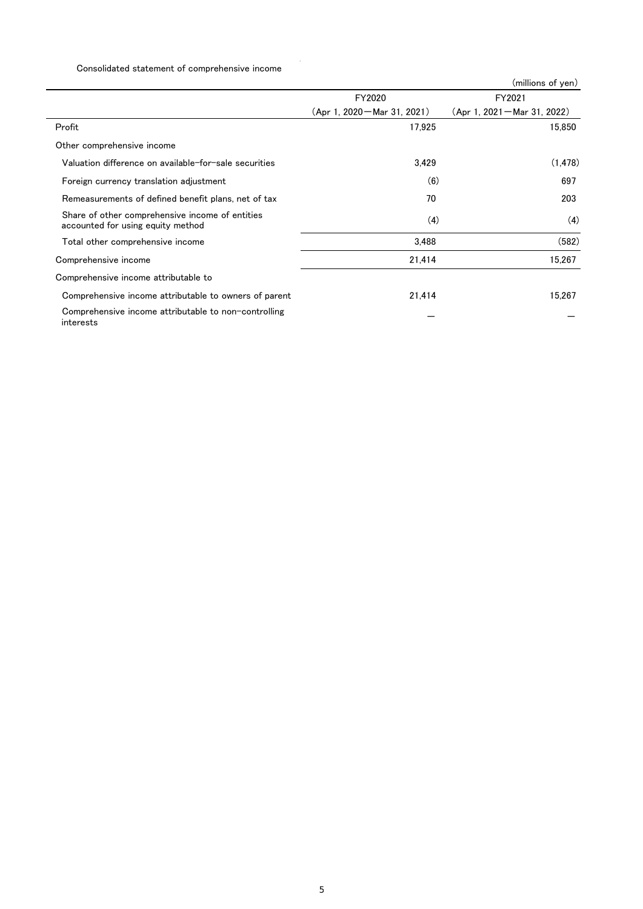## Consolidated statement of comprehensive income

|                                                                                      |                                | (millions of yen)              |
|--------------------------------------------------------------------------------------|--------------------------------|--------------------------------|
|                                                                                      | FY2020                         | FY2021                         |
|                                                                                      | $(Apr 1, 2020 - Mar 31, 2021)$ | $(Apr 1, 2021 - Mar 31, 2022)$ |
| Profit                                                                               | 17,925                         | 15,850                         |
| Other comprehensive income                                                           |                                |                                |
| Valuation difference on available-for-sale securities                                | 3,429                          | (1, 478)                       |
| Foreign currency translation adjustment                                              | (6)                            | 697                            |
| Remeasurements of defined benefit plans, net of tax                                  | 70                             | 203                            |
| Share of other comprehensive income of entities<br>accounted for using equity method | (4)                            | (4)                            |
| Total other comprehensive income                                                     | 3.488                          | (582)                          |
| Comprehensive income                                                                 | 21,414                         | 15,267                         |
| Comprehensive income attributable to                                                 |                                |                                |
| Comprehensive income attributable to owners of parent                                | 21,414                         | 15,267                         |
| Comprehensive income attributable to non-controlling<br>interests                    |                                |                                |

 $\bar{\beta}$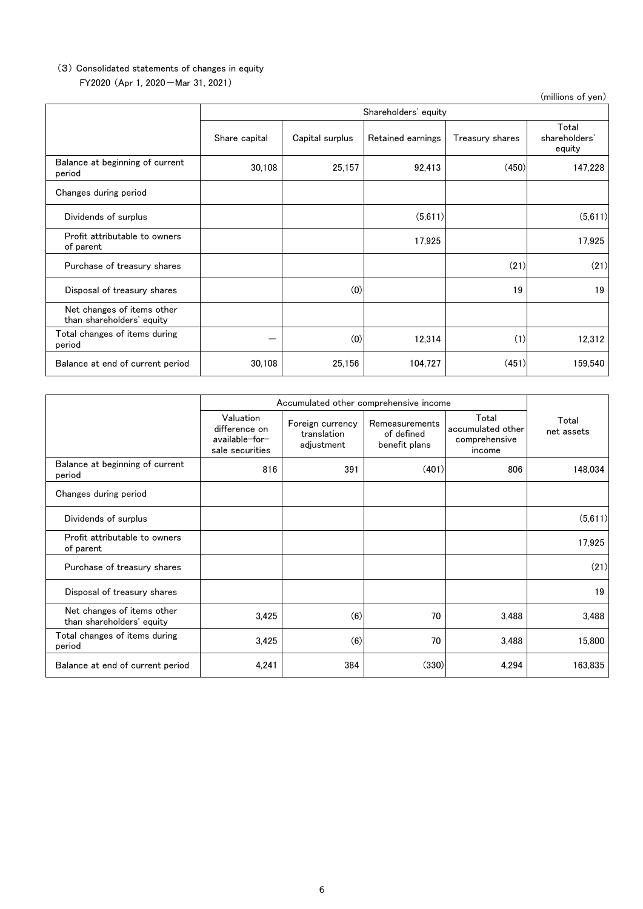#### FY2020 (Apr 1, 2020-Mar 31, 2021) (3) Consolidated statements of changes in equity

(millions of yen) Share capital | Capital surplus | Retained earnings | Treasury shares Total shareholders' equity Balance at beginning of current الماء المسابق المستشرف المسابق المستشرف المستشرف المستشرف المستشرف المستشرف المستشرف المستشرف المستشرف المستشر<br>Deriod in the set of the set of the set of the set of the set of the set of the set of the set of the set of t Changes during period Dividends of surplus (5,611) (5,611) Profit attributable to owners of parent the distributable to owners and the control of the control of the control of parent the control of parent the control of parent of the control of parent of the control of parent of the control of parent of the co Purchase of treasury shares (21) (21) Disposal of treasury shares (a) 19 19 19 19 19 19 19 19 19 19 Net changes of items other than shareholders' equity Total changes of items during period - (0) 12,314 (1) 12,312 Balance at end of current period | 30,108 | 25,156 | 104,727 | (451) 159,540 Shareholders' equity

|                                                         | Accumulated other comprehensive income                          |                                               |                                               |                                                       |                     |
|---------------------------------------------------------|-----------------------------------------------------------------|-----------------------------------------------|-----------------------------------------------|-------------------------------------------------------|---------------------|
|                                                         | Valuation<br>difference on<br>available-for-<br>sale securities | Foreign currency<br>translation<br>adjustment | Remeasurements<br>of defined<br>benefit plans | Total<br>accumulated other<br>comprehensive<br>income | Total<br>net assets |
| Balance at beginning of current<br>period               | 816                                                             | 391                                           | (401)                                         | 806                                                   | 148,034             |
| Changes during period                                   |                                                                 |                                               |                                               |                                                       |                     |
| Dividends of surplus                                    |                                                                 |                                               |                                               |                                                       | (5,611)             |
| Profit attributable to owners<br>of parent              |                                                                 |                                               |                                               |                                                       | 17,925              |
| Purchase of treasury shares                             |                                                                 |                                               |                                               |                                                       | (21)                |
| Disposal of treasury shares                             |                                                                 |                                               |                                               |                                                       | 19                  |
| Net changes of items other<br>than shareholders' equity | 3,425                                                           | (6)                                           | 70                                            | 3,488                                                 | 3,488               |
| Total changes of items during<br>period                 | 3,425                                                           | (6)                                           | 70                                            | 3,488                                                 | 15,800              |
| Balance at end of current period                        | 4,241                                                           | 384                                           | (330)                                         | 4,294                                                 | 163,835             |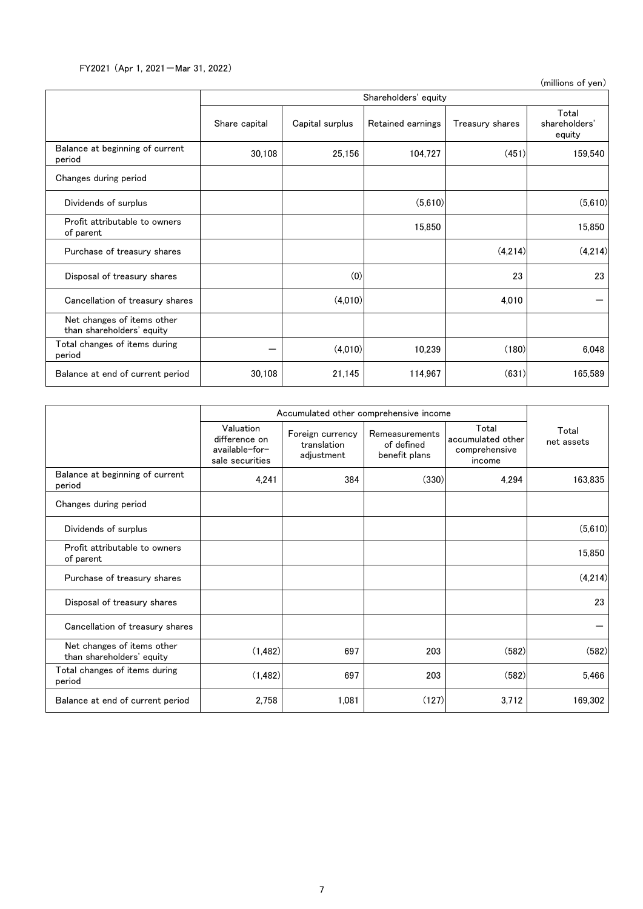FY2021 (Apr 1, 2021-Mar 31, 2022)

(millions of yen)

|                                                         |               | Shareholders' equity |                   |                 |                                  |  |  |  |
|---------------------------------------------------------|---------------|----------------------|-------------------|-----------------|----------------------------------|--|--|--|
|                                                         | Share capital | Capital surplus      | Retained earnings | Treasury shares | Total<br>shareholders'<br>equity |  |  |  |
| Balance at beginning of current<br>period               | 30,108        | 25,156               | 104,727           | (451)           | 159,540                          |  |  |  |
| Changes during period                                   |               |                      |                   |                 |                                  |  |  |  |
| Dividends of surplus                                    |               |                      | (5,610)           |                 | (5,610)                          |  |  |  |
| Profit attributable to owners<br>of parent              |               |                      | 15,850            |                 | 15,850                           |  |  |  |
| Purchase of treasury shares                             |               |                      |                   | (4,214)         | (4,214)                          |  |  |  |
| Disposal of treasury shares                             |               | (0)                  |                   | 23              | 23                               |  |  |  |
| Cancellation of treasury shares                         |               | (4,010)              |                   | 4,010           |                                  |  |  |  |
| Net changes of items other<br>than shareholders' equity |               |                      |                   |                 |                                  |  |  |  |
| Total changes of items during<br>period                 |               | (4,010)              | 10,239            | (180)           | 6,048                            |  |  |  |
| Balance at end of current period                        | 30,108        | 21,145               | 114,967           | (631)           | 165,589                          |  |  |  |

|                                                         |                                                                 | Accumulated other comprehensive income        |                                               |                                                       |                     |
|---------------------------------------------------------|-----------------------------------------------------------------|-----------------------------------------------|-----------------------------------------------|-------------------------------------------------------|---------------------|
|                                                         | Valuation<br>difference on<br>available-for-<br>sale securities | Foreign currency<br>translation<br>adjustment | Remeasurements<br>of defined<br>benefit plans | Total<br>accumulated other<br>comprehensive<br>income | Total<br>net assets |
| Balance at beginning of current<br>period               | 4,241                                                           | 384                                           | (330)                                         | 4,294                                                 | 163,835             |
| Changes during period                                   |                                                                 |                                               |                                               |                                                       |                     |
| Dividends of surplus                                    |                                                                 |                                               |                                               |                                                       | (5,610)             |
| Profit attributable to owners<br>of parent              |                                                                 |                                               |                                               |                                                       | 15,850              |
| Purchase of treasury shares                             |                                                                 |                                               |                                               |                                                       | (4,214)             |
| Disposal of treasury shares                             |                                                                 |                                               |                                               |                                                       | 23                  |
| Cancellation of treasury shares                         |                                                                 |                                               |                                               |                                                       |                     |
| Net changes of items other<br>than shareholders' equity | (1, 482)                                                        | 697                                           | 203                                           | (582)                                                 | (582)               |
| Total changes of items during<br>period                 | (1, 482)                                                        | 697                                           | 203                                           | (582)                                                 | 5,466               |
| Balance at end of current period                        | 2,758                                                           | 1,081                                         | (127)                                         | 3,712                                                 | 169,302             |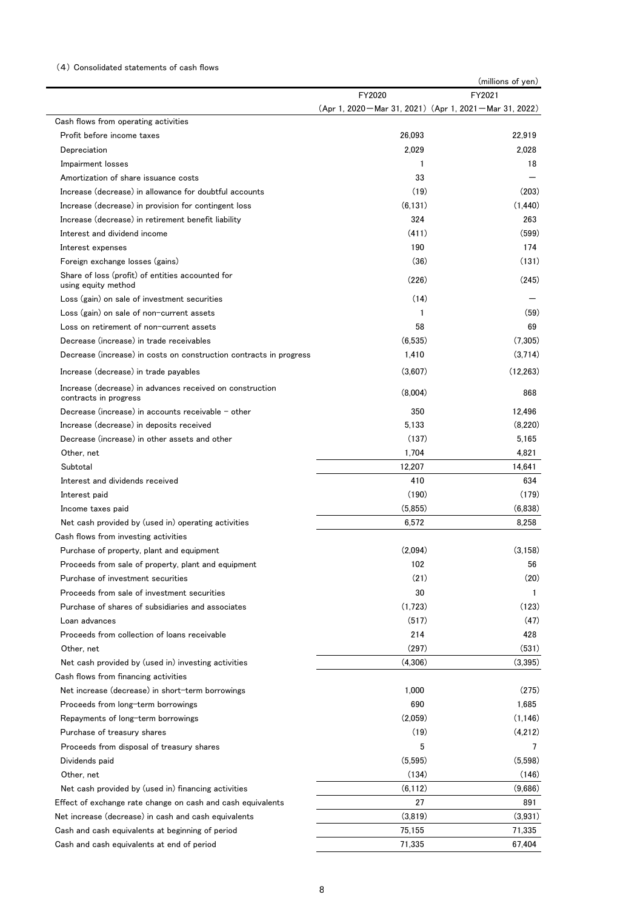#### (4) Consolidated statements of cash flows

|                                                                                   |                                                           | (millions of yen) |
|-----------------------------------------------------------------------------------|-----------------------------------------------------------|-------------------|
|                                                                                   | FY2020                                                    | FY2021            |
| Cash flows from operating activities                                              | (Apr 1, 2020 – Mar 31, 2021) (Apr 1, 2021 – Mar 31, 2022) |                   |
| Profit before income taxes                                                        | 26,093                                                    | 22,919            |
| Depreciation                                                                      | 2,029                                                     | 2,028             |
| Impairment losses                                                                 | 1                                                         | 18                |
| Amortization of share issuance costs                                              | 33                                                        |                   |
| Increase (decrease) in allowance for doubtful accounts                            | (19)                                                      | (203)             |
| Increase (decrease) in provision for contingent loss                              | (6, 131)                                                  | (1.440)           |
| Increase (decrease) in retirement benefit liability                               | 324                                                       | 263               |
| Interest and dividend income                                                      | (411)                                                     | (599)             |
| Interest expenses                                                                 | 190                                                       | 174               |
| Foreign exchange losses (gains)                                                   | (36)                                                      | (131)             |
| Share of loss (profit) of entities accounted for<br>using equity method           | (226)                                                     | (245)             |
| Loss (gain) on sale of investment securities                                      | (14)                                                      |                   |
| Loss (gain) on sale of non-current assets                                         | 1                                                         | (59)              |
| Loss on retirement of non-current assets                                          | 58                                                        | 69                |
| Decrease (increase) in trade receivables                                          | (6, 535)                                                  | (7.305)           |
| Decrease (increase) in costs on construction contracts in progress                | 1,410                                                     | (3,714)           |
| Increase (decrease) in trade payables                                             | (3.607)                                                   | (12, 263)         |
| Increase (decrease) in advances received on construction<br>contracts in progress | (8,004)                                                   | 868               |
| Decrease (increase) in accounts receivable $-$ other                              | 350                                                       | 12.496            |
| Increase (decrease) in deposits received                                          | 5,133                                                     | (8,220)           |
| Decrease (increase) in other assets and other                                     | (137)                                                     | 5,165             |
| Other, net                                                                        | 1,704                                                     | 4,821             |
| Subtotal                                                                          | 12,207                                                    | 14,641            |
| Interest and dividends received                                                   | 410                                                       | 634               |
| Interest paid                                                                     | (190)                                                     | (179)             |
| Income taxes paid                                                                 | (5,855)                                                   | (6,838)           |
| Net cash provided by (used in) operating activities                               | 6,572                                                     | 8,258             |
| Cash flows from investing activities                                              |                                                           |                   |
| Purchase of property, plant and equipment                                         | (2.094)                                                   | (3.158)           |
| Proceeds from sale of property, plant and equipment                               | 102                                                       | 56                |
| Purchase of investment securities                                                 | (21)                                                      | (20)              |
| Proceeds from sale of investment securities                                       | 30                                                        | -1                |
| Purchase of shares of subsidiaries and associates                                 | (1,723)                                                   | (123)             |
| Loan advances                                                                     | (517)                                                     | (47)              |
| Proceeds from collection of loans receivable                                      | 214                                                       | 428               |
| Other, net                                                                        | (297)                                                     | (531)             |
| Net cash provided by (used in) investing activities                               | (4,306)                                                   | (3,395)           |
| Cash flows from financing activities                                              |                                                           |                   |
| Net increase (decrease) in short-term borrowings                                  | 1,000                                                     | (275)             |
| Proceeds from long-term borrowings                                                | 690                                                       | 1,685             |
| Repayments of long-term borrowings                                                | (2,059)                                                   | (1, 146)          |
| Purchase of treasury shares                                                       | (19)                                                      | (4,212)           |
| Proceeds from disposal of treasury shares                                         | 5                                                         | 7                 |
| Dividends paid                                                                    | (5, 595)                                                  | (5,598)           |
| Other, net                                                                        | (134)                                                     | (146)             |
| Net cash provided by (used in) financing activities                               | (6, 112)                                                  | (9,686)           |
| Effect of exchange rate change on cash and cash equivalents                       | 27                                                        | 891               |
| Net increase (decrease) in cash and cash equivalents                              | (3,819)                                                   | (3,931)           |
| Cash and cash equivalents at beginning of period                                  | 75,155                                                    | 71,335            |
| Cash and cash equivalents at end of period                                        | 71,335                                                    | 67,404            |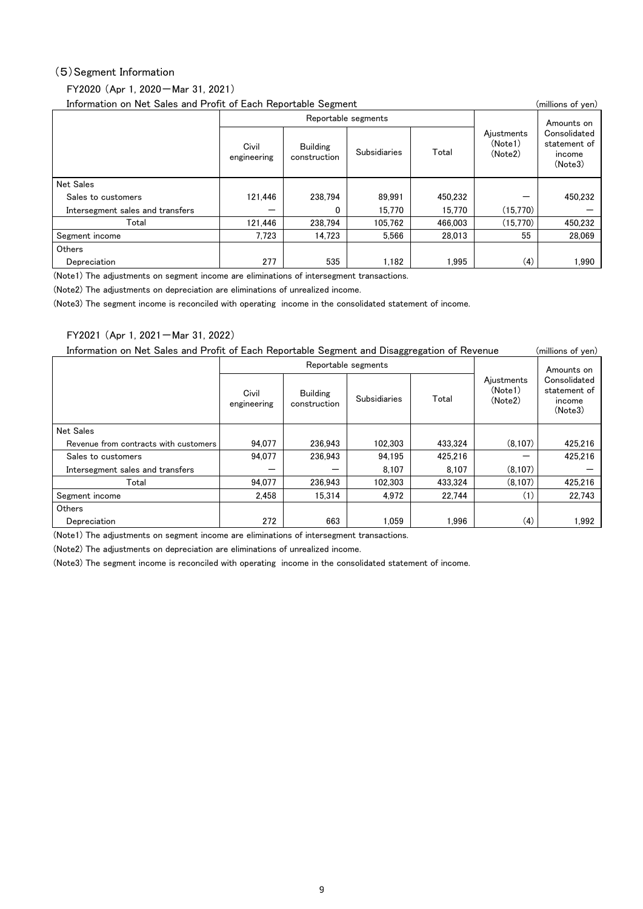### (5)Segment Information

## FY2020 (Apr 1, 2020-Mar 31, 2021)

| Information on Net Sales and Profit of Each Reportable Segment |                      |                                 |              |            |                                  |                                                   |  |
|----------------------------------------------------------------|----------------------|---------------------------------|--------------|------------|----------------------------------|---------------------------------------------------|--|
|                                                                |                      | Reportable segments             |              | Amounts on |                                  |                                                   |  |
|                                                                | Civil<br>engineering | <b>Building</b><br>construction | Subsidiaries | Total      | Ajustments<br>(Note1)<br>(Note2) | Consolidated<br>statement of<br>income<br>(Note3) |  |
| <b>Net Sales</b>                                               |                      |                                 |              |            |                                  |                                                   |  |
| Sales to customers                                             | 121.446              | 238.794                         | 89.991       | 450.232    |                                  | 450.232                                           |  |
| Intersegment sales and transfers                               |                      | 0                               | 15.770       | 15.770     | (15.770)                         |                                                   |  |
| Total                                                          | 121.446              | 238.794                         | 105.762      | 466.003    | (15.770)                         | 450.232                                           |  |
| Segment income                                                 | 7.723                | 14.723                          | 5.566        | 28.013     | 55                               | 28.069                                            |  |
| Others                                                         |                      |                                 |              |            |                                  |                                                   |  |
| Depreciation                                                   | 277                  | 535                             | 1.182        | 1.995      | (4)                              | 1.990                                             |  |

(Note1) The adjustments on segment income are eliminations of intersegment transactions.

(Note2) The adjustments on depreciation are eliminations of unrealized income.

(Note3) The segment income is reconciled with operating income in the consolidated statement of income.

#### FY2021 (Apr 1, 2021-Mar 31, 2022)

Information on Net Sales and Profit of Each Reportable Segment and Disaggregation of Revenue (millions of yen)

|                                       |                      | Reportable segments             |              |         | Amounts on                       |                                                   |
|---------------------------------------|----------------------|---------------------------------|--------------|---------|----------------------------------|---------------------------------------------------|
|                                       | Civil<br>engineering | <b>Building</b><br>construction | Subsidiaries | Total   | Aiustments<br>(Note1)<br>(Note2) | Consolidated<br>statement of<br>income<br>(Note3) |
| <b>Net Sales</b>                      |                      |                                 |              |         |                                  |                                                   |
| Revenue from contracts with customers | 94.077               | 236.943                         | 102.303      | 433.324 | (8.107)                          | 425.216                                           |
| Sales to customers                    | 94.077               | 236.943                         | 94.195       | 425.216 |                                  | 425.216                                           |
| Intersegment sales and transfers      |                      | -                               | 8.107        | 8.107   | (8.107)                          |                                                   |
| Total                                 | 94.077               | 236.943                         | 102.303      | 433.324 | (8.107)                          | 425.216                                           |
| Segment income                        | 2.458                | 15.314                          | 4.972        | 22.744  | (1)                              | 22.743                                            |
| Others                                |                      |                                 |              |         |                                  |                                                   |
| Depreciation                          | 272                  | 663                             | 1,059        | 1.996   | (4)                              | 1.992                                             |

(Note1) The adjustments on segment income are eliminations of intersegment transactions.

(Note2) The adjustments on depreciation are eliminations of unrealized income.

(Note3) The segment income is reconciled with operating income in the consolidated statement of income.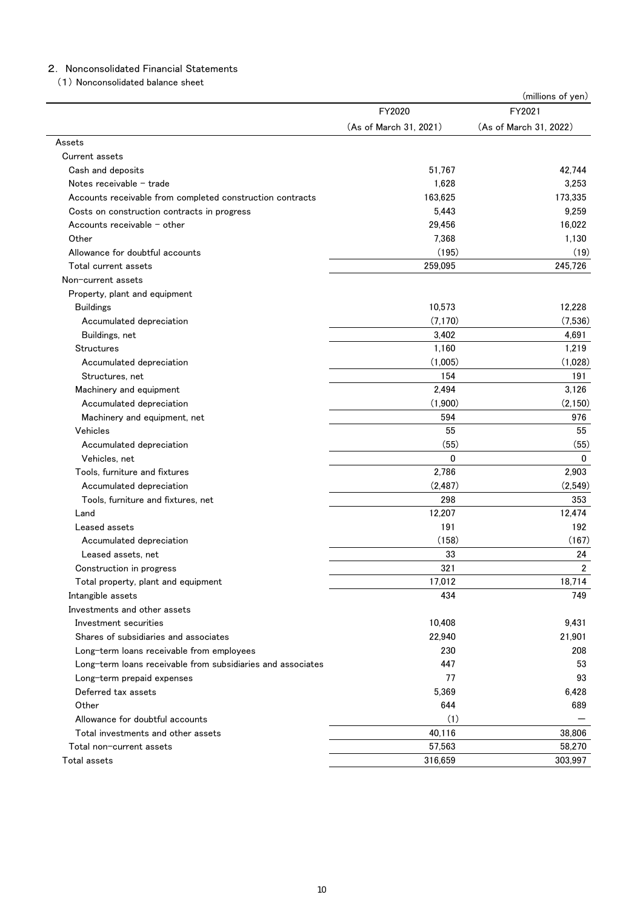## 2. Nonconsolidated Financial Statements

(1) Nonconsolidated balance sheet

|                                                             |                        | (millions of yen)      |
|-------------------------------------------------------------|------------------------|------------------------|
|                                                             | FY2020                 | FY2021                 |
|                                                             | (As of March 31, 2021) | (As of March 31, 2022) |
| Assets                                                      |                        |                        |
| Current assets                                              |                        |                        |
| Cash and deposits                                           | 51,767                 | 42,744                 |
| Notes receivable - trade                                    | 1,628                  | 3,253                  |
| Accounts receivable from completed construction contracts   | 163,625                | 173,335                |
| Costs on construction contracts in progress                 | 5,443                  | 9,259                  |
| Accounts receivable $-$ other                               | 29,456                 | 16,022                 |
| Other                                                       | 7.368                  | 1,130                  |
| Allowance for doubtful accounts                             | (195)                  | (19)                   |
| Total current assets                                        | 259,095                | 245,726                |
| Non-current assets                                          |                        |                        |
| Property, plant and equipment                               |                        |                        |
| <b>Buildings</b>                                            | 10,573                 | 12,228                 |
| Accumulated depreciation                                    | (7, 170)               | (7,536)                |
| Buildings, net                                              | 3,402                  | 4,691                  |
| <b>Structures</b>                                           | 1,160                  | 1,219                  |
| Accumulated depreciation                                    | (1,005)                | (1,028)                |
| Structures, net                                             | 154                    | 191                    |
| Machinery and equipment                                     | 2,494                  | 3,126                  |
| Accumulated depreciation                                    | (1,900)                | (2, 150)               |
| Machinery and equipment, net                                | 594                    | 976                    |
| Vehicles                                                    | 55                     | 55                     |
| Accumulated depreciation                                    | (55)                   | (55)                   |
| Vehicles, net                                               | $\mathbf 0$            | $\mathbf 0$            |
| Tools, furniture and fixtures                               | 2,786                  | 2,903                  |
| Accumulated depreciation                                    | (2, 487)               | (2,549)                |
| Tools, furniture and fixtures, net                          | 298                    | 353                    |
| Land                                                        | 12,207                 | 12,474                 |
| Leased assets                                               | 191                    | 192                    |
| Accumulated depreciation                                    | (158)                  | (167)                  |
| Leased assets, net                                          | 33                     | 24                     |
| Construction in progress                                    | 321                    | $\overline{2}$         |
| Total property, plant and equipment                         | 17,012                 | 18,714                 |
| Intangible assets                                           | 434                    | 749                    |
| Investments and other assets                                |                        |                        |
| Investment securities                                       | 10,408                 | 9,431                  |
| Shares of subsidiaries and associates                       | 22,940                 | 21,901                 |
| Long-term loans receivable from employees                   | 230                    | 208                    |
| Long-term loans receivable from subsidiaries and associates | 447                    | 53                     |
| Long-term prepaid expenses                                  | 77                     | 93                     |
| Deferred tax assets                                         | 5,369                  | 6,428                  |
| Other                                                       | 644                    | 689                    |
| Allowance for doubtful accounts                             | (1)                    |                        |
| Total investments and other assets                          | 40,116                 | 38,806                 |
| Total non-current assets                                    | 57,563                 | 58,270                 |
| Total assets                                                | 316,659                | 303,997                |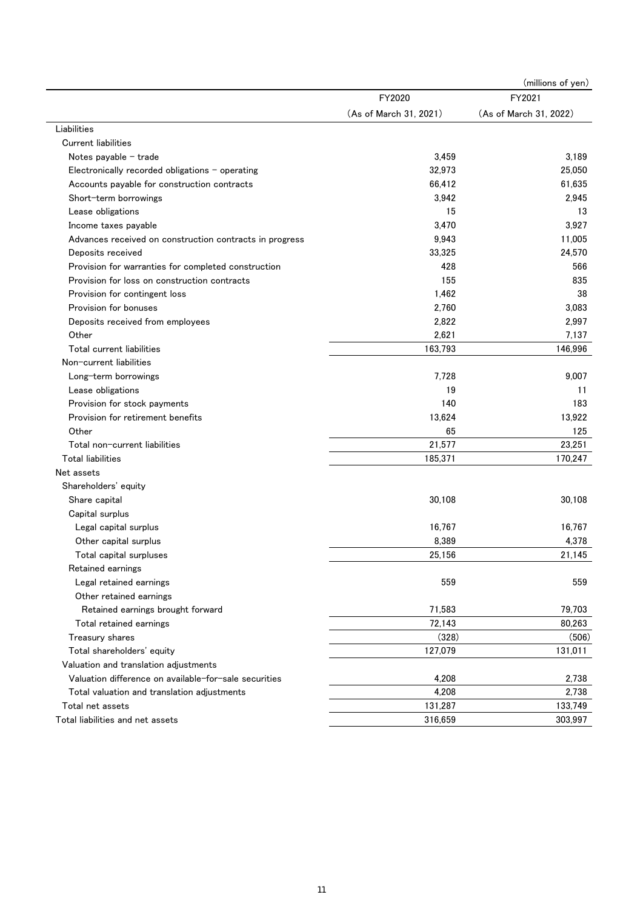|                                                         |                        | (millions of yen)      |
|---------------------------------------------------------|------------------------|------------------------|
|                                                         | FY2020                 | FY2021                 |
|                                                         | (As of March 31, 2021) | (As of March 31, 2022) |
| Liabilities                                             |                        |                        |
| <b>Current liabilities</b>                              |                        |                        |
| Notes payable $-$ trade                                 | 3,459                  | 3,189                  |
| Electronically recorded obligations - operating         | 32,973                 | 25,050                 |
| Accounts payable for construction contracts             | 66,412                 | 61,635                 |
| Short-term borrowings                                   | 3,942                  | 2,945                  |
| Lease obligations                                       | 15                     | 13                     |
| Income taxes payable                                    | 3,470                  | 3,927                  |
| Advances received on construction contracts in progress | 9,943                  | 11,005                 |
| Deposits received                                       | 33,325                 | 24,570                 |
| Provision for warranties for completed construction     | 428                    | 566                    |
| Provision for loss on construction contracts            | 155                    | 835                    |
| Provision for contingent loss                           | 1,462                  | 38                     |
| Provision for bonuses                                   | 2,760                  | 3,083                  |
| Deposits received from employees                        | 2,822                  | 2,997                  |
| Other                                                   | 2,621                  | 7,137                  |
| Total current liabilities                               | 163,793                | 146,996                |
| Non-current liabilities                                 |                        |                        |
| Long-term borrowings                                    | 7,728                  | 9,007                  |
| Lease obligations                                       | 19                     | 11                     |
| Provision for stock payments                            | 140                    | 183                    |
| Provision for retirement benefits                       | 13,624                 | 13,922                 |
| Other                                                   | 65                     | 125                    |
| Total non-current liabilities                           | 21,577                 | 23,251                 |
| <b>Total liabilities</b>                                | 185,371                | 170,247                |
| Net assets                                              |                        |                        |
| Shareholders' equity                                    |                        |                        |
| Share capital                                           | 30,108                 | 30,108                 |
| Capital surplus                                         |                        |                        |
| Legal capital surplus                                   | 16,767                 | 16,767                 |
| Other capital surplus                                   | 8,389                  | 4,378                  |
| Total capital surpluses                                 | 25,156                 | 21.145                 |
| Retained earnings                                       |                        |                        |
| Legal retained earnings                                 | 559                    | 559                    |
| Other retained earnings                                 |                        |                        |
| Retained earnings brought forward                       | 71,583                 | 79,703                 |
| Total retained earnings                                 | 72,143                 | 80,263                 |
| Treasury shares                                         | (328)                  | (506)                  |
| Total shareholders' equity                              | 127,079                | 131,011                |
| Valuation and translation adjustments                   |                        |                        |
| Valuation difference on available-for-sale securities   | 4,208                  | 2,738                  |
| Total valuation and translation adjustments             | 4,208                  | 2,738                  |
| Total net assets                                        | 131,287                | 133,749                |
| Total liabilities and net assets                        | 316,659                | 303,997                |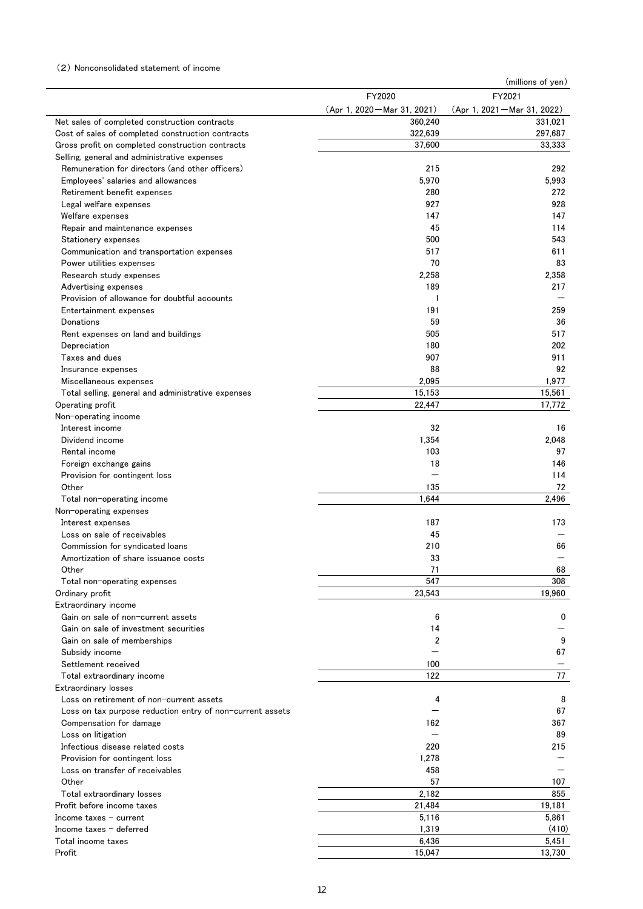### (2) Nonconsolidated statement of income

|                                                                       |                              | (millions of yen)              |
|-----------------------------------------------------------------------|------------------------------|--------------------------------|
|                                                                       | FY2020                       | FY2021                         |
|                                                                       | (Apr 1, 2020 – Mar 31, 2021) | $(Apr 1, 2021 - Mar 31, 2022)$ |
| Net sales of completed construction contracts                         | 360,240                      | 331,021                        |
| Cost of sales of completed construction contracts                     | 322,639                      | 297,687                        |
| Gross profit on completed construction contracts                      | 37,600                       | 33,333                         |
| Selling, general and administrative expenses                          |                              |                                |
| Remuneration for directors (and other officers)                       | 215                          | 292                            |
| Employees' salaries and allowances                                    | 5,970                        | 5,993                          |
| Retirement benefit expenses                                           | 280                          | 272                            |
| Legal welfare expenses                                                | 927                          | 928                            |
| Welfare expenses                                                      | 147                          | 147                            |
| Repair and maintenance expenses                                       | 45                           | 114                            |
| Stationery expenses                                                   | 500<br>517                   | 543<br>611                     |
| Communication and transportation expenses<br>Power utilities expenses | 70                           | 83                             |
| Research study expenses                                               | 2,258                        | 2,358                          |
| Advertising expenses                                                  | 189                          | 217                            |
| Provision of allowance for doubtful accounts                          | 1                            | —                              |
| Entertainment expenses                                                | 191                          | 259                            |
| Donations                                                             | 59                           | 36                             |
| Rent expenses on land and buildings                                   | 505                          | 517                            |
| Depreciation                                                          | 180                          | 202                            |
| Taxes and dues                                                        | 907                          | 911                            |
| Insurance expenses                                                    | 88                           | 92                             |
| Miscellaneous expenses                                                | 2,095                        | 1,977                          |
| Total selling, general and administrative expenses                    | 15,153                       | 15,561                         |
| Operating profit                                                      | 22.447                       | 17,772                         |
| Non-operating income                                                  |                              |                                |
| Interest income                                                       | 32                           | 16                             |
| Dividend income                                                       | 1,354                        | 2,048                          |
| Rental income                                                         | 103                          | 97                             |
| Foreign exchange gains                                                | 18                           | 146                            |
| Provision for contingent loss                                         |                              | 114                            |
| Other                                                                 | 135                          | 72                             |
| Total non-operating income                                            | 1.644                        | 2,496                          |
| Non-operating expenses                                                |                              |                                |
| Interest expenses                                                     | 187                          | 173                            |
| Loss on sale of receivables                                           | 45                           |                                |
| Commission for syndicated loans                                       | 210                          | 66                             |
| Amortization of share issuance costs                                  | 33                           |                                |
| Other                                                                 | 71                           | 68                             |
| Total non-operating expenses                                          | 547                          | 308                            |
| Ordinary profit                                                       | 23,543                       | 19.960                         |
| Extraordinary income                                                  |                              |                                |
| Gain on sale of non-current assets                                    | 6                            | 0                              |
| Gain on sale of investment securities                                 | 14                           |                                |
| Gain on sale of memberships                                           | 2                            | 9                              |
| Subsidy income                                                        |                              | 67                             |
| Settlement received                                                   | 100                          |                                |
| Total extraordinary income                                            | 122                          | 77                             |
| Extraordinary losses                                                  |                              |                                |
| Loss on retirement of non-current assets                              | 4                            | 8                              |
| Loss on tax purpose reduction entry of non-current assets             |                              | 67                             |
| Compensation for damage                                               | 162                          | 367                            |
| Loss on litigation                                                    |                              | 89                             |
| Infectious disease related costs                                      | 220                          | 215                            |
| Provision for contingent loss                                         | 1,278                        |                                |
| Loss on transfer of receivables                                       | 458                          |                                |
| Other                                                                 | 57                           | 107                            |
| Total extraordinary losses                                            | 2,182                        | 855                            |
| Profit before income taxes                                            | 21,484                       | 19,181                         |
| Income taxes $-$ current                                              | 5,116                        | 5,861                          |
| Income taxes $-$ deferred                                             | 1,319                        | (410)                          |
| Total income taxes                                                    | 6,436                        | 5,451                          |
| Profit                                                                | 15,047                       | 13,730                         |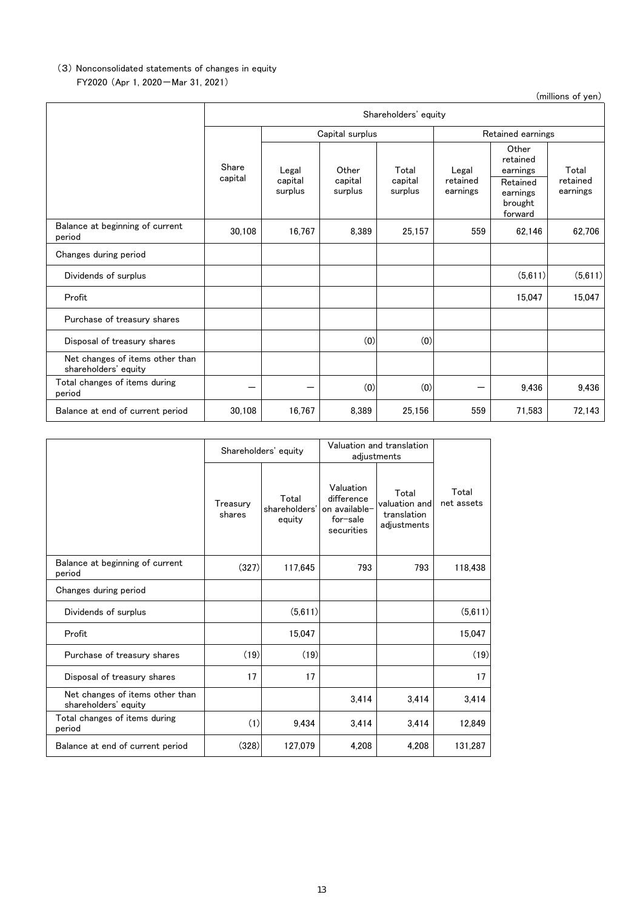# FY2020 (Apr 1, 2020-Mar 31, 2021) (3) Nonconsolidated statements of changes in equity

(millions of yen)

|                                                         |                  | Shareholders' equity        |                             |                             |                               |                                                                             |                               |  |  |
|---------------------------------------------------------|------------------|-----------------------------|-----------------------------|-----------------------------|-------------------------------|-----------------------------------------------------------------------------|-------------------------------|--|--|
|                                                         |                  |                             | Capital surplus             |                             |                               | Retained earnings                                                           |                               |  |  |
|                                                         | Share<br>capital | Legal<br>capital<br>surplus | Other<br>capital<br>surplus | Total<br>capital<br>surplus | Legal<br>retained<br>earnings | Other<br>retained<br>earnings<br>Retained<br>earnings<br>brought<br>forward | Total<br>retained<br>earnings |  |  |
| Balance at beginning of current<br>period               | 30,108           | 16,767                      | 8,389                       | 25,157                      | 559                           | 62,146                                                                      | 62,706                        |  |  |
| Changes during period                                   |                  |                             |                             |                             |                               |                                                                             |                               |  |  |
| Dividends of surplus                                    |                  |                             |                             |                             |                               | (5,611)                                                                     | (5,611)                       |  |  |
| Profit                                                  |                  |                             |                             |                             |                               | 15,047                                                                      | 15,047                        |  |  |
| Purchase of treasury shares                             |                  |                             |                             |                             |                               |                                                                             |                               |  |  |
| Disposal of treasury shares                             |                  |                             | (0)                         | (0)                         |                               |                                                                             |                               |  |  |
| Net changes of items other than<br>shareholders' equity |                  |                             |                             |                             |                               |                                                                             |                               |  |  |
| Total changes of items during<br>period                 |                  |                             | (0)                         | (0)                         |                               | 9,436                                                                       | 9,436                         |  |  |
| Balance at end of current period                        | 30,108           | 16,767                      | 8,389                       | 25,156                      | 559                           | 71,583                                                                      | 72,143                        |  |  |

|                                                         |                    | Shareholders' equity             | Valuation and translation<br>adjustments                           |                                                      |                     |
|---------------------------------------------------------|--------------------|----------------------------------|--------------------------------------------------------------------|------------------------------------------------------|---------------------|
|                                                         | Treasury<br>shares | Total<br>shareholders'<br>equity | Valuation<br>difference<br>on available-<br>for-sale<br>securities | Total<br>valuation and<br>translation<br>adjustments | Total<br>net assets |
| Balance at beginning of current<br>period               | (327)              | 117,645                          | 793                                                                | 793                                                  | 118,438             |
| Changes during period                                   |                    |                                  |                                                                    |                                                      |                     |
| Dividends of surplus                                    |                    | (5,611)                          |                                                                    |                                                      | (5,611)             |
| Profit                                                  |                    | 15,047                           |                                                                    |                                                      | 15,047              |
| Purchase of treasury shares                             | (19)               | (19)                             |                                                                    |                                                      | (19)                |
| Disposal of treasury shares                             | 17                 | 17                               |                                                                    |                                                      | 17                  |
| Net changes of items other than<br>shareholders' equity |                    |                                  | 3,414                                                              | 3,414                                                | 3,414               |
| Total changes of items during<br>period                 | (1)                | 9,434                            | 3,414                                                              | 3,414                                                | 12,849              |
| Balance at end of current period                        | (328)              | 127,079                          | 4.208                                                              | 4.208                                                | 131,287             |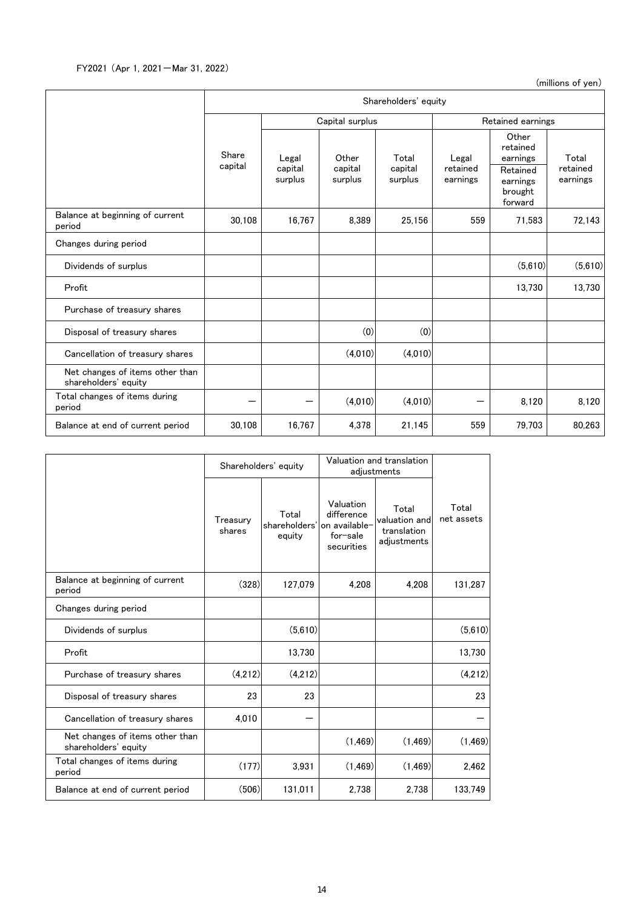(millions of yen)

|                                                         | Shareholders' equity |                    |                    |                    |                      |                                            |                      |  |
|---------------------------------------------------------|----------------------|--------------------|--------------------|--------------------|----------------------|--------------------------------------------|----------------------|--|
|                                                         |                      |                    | Capital surplus    |                    | Retained earnings    |                                            |                      |  |
|                                                         | Share<br>capital     | Legal              | Other              | Total              | Legal                | Other<br>retained<br>earnings              | Total                |  |
|                                                         |                      | capital<br>surplus | capital<br>surplus | capital<br>surplus | retained<br>earnings | Retained<br>earnings<br>brought<br>forward | retained<br>earnings |  |
| Balance at beginning of current<br>period               | 30,108               | 16.767             | 8.389              | 25.156             | 559                  | 71.583                                     | 72,143               |  |
| Changes during period                                   |                      |                    |                    |                    |                      |                                            |                      |  |
| Dividends of surplus                                    |                      |                    |                    |                    |                      | (5,610)                                    | (5,610)              |  |
| Profit                                                  |                      |                    |                    |                    |                      | 13,730                                     | 13,730               |  |
| Purchase of treasury shares                             |                      |                    |                    |                    |                      |                                            |                      |  |
| Disposal of treasury shares                             |                      |                    | (0)                | (0)                |                      |                                            |                      |  |
| Cancellation of treasury shares                         |                      |                    | (4,010)            | (4,010)            |                      |                                            |                      |  |
| Net changes of items other than<br>shareholders' equity |                      |                    |                    |                    |                      |                                            |                      |  |
| Total changes of items during<br>period                 |                      |                    | (4.010)            | (4.010)            |                      | 8,120                                      | 8,120                |  |
| Balance at end of current period                        | 30,108               | 16,767             | 4,378              | 21,145             | 559                  | 79,703                                     | 80,263               |  |

|                                                         | Shareholders' equity |                                                | Valuation and translation<br>adjustments          |                                                      |                     |
|---------------------------------------------------------|----------------------|------------------------------------------------|---------------------------------------------------|------------------------------------------------------|---------------------|
|                                                         | Treasury<br>shares   | Total<br>shareholders' on available-<br>equity | Valuation<br>difference<br>for-sale<br>securities | Total<br>valuation and<br>translation<br>adjustments | Total<br>net assets |
| Balance at beginning of current<br>period               | (328)                | 127,079                                        | 4,208                                             | 4,208                                                | 131,287             |
| Changes during period                                   |                      |                                                |                                                   |                                                      |                     |
| Dividends of surplus                                    |                      | (5,610)                                        |                                                   |                                                      | (5,610)             |
| Profit                                                  |                      | 13,730                                         |                                                   |                                                      | 13,730              |
| Purchase of treasury shares                             | (4,212)              | (4,212)                                        |                                                   |                                                      | (4,212)             |
| Disposal of treasury shares                             | 23                   | 23                                             |                                                   |                                                      | 23                  |
| Cancellation of treasury shares                         | 4,010                |                                                |                                                   |                                                      |                     |
| Net changes of items other than<br>shareholders' equity |                      |                                                | (1, 469)                                          | (1,469)                                              | (1, 469)            |
| Total changes of items during<br>period                 | (177)                | 3,931                                          | (1,469)                                           | (1, 469)                                             | 2,462               |
| Balance at end of current period                        | (506)                | 131,011                                        | 2.738                                             | 2.738                                                | 133,749             |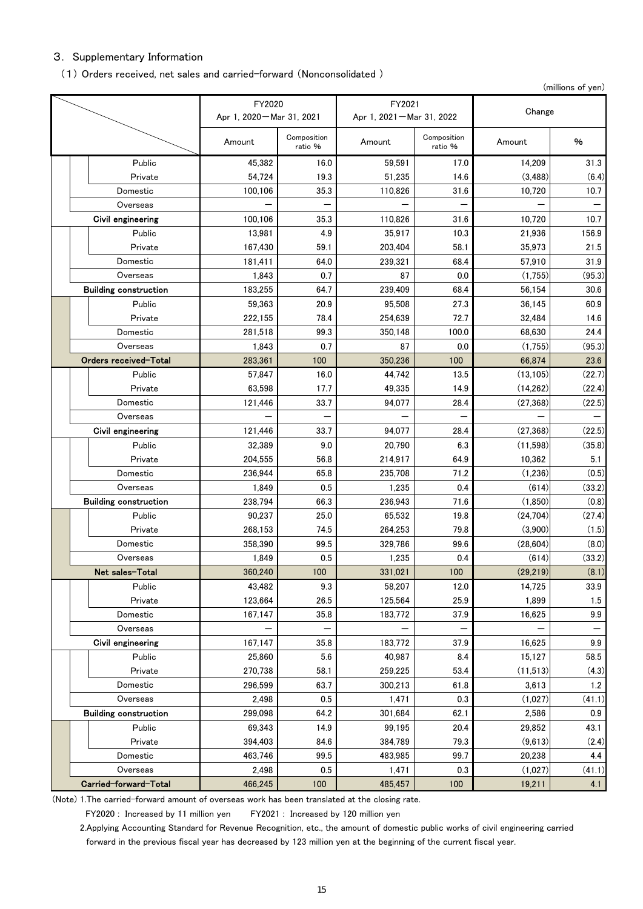# 3. Supplementary Information

#### (1) Orders received, net sales and carried-forward (Nonconsolidated )

(millions of yen)

|                              | FY2020                     |                        | FY2021                     |                        |                  |               |  |
|------------------------------|----------------------------|------------------------|----------------------------|------------------------|------------------|---------------|--|
|                              | Apr 1, 2020 - Mar 31, 2021 |                        | Apr 1, 2021 - Mar 31, 2022 |                        | Change           |               |  |
|                              | Amount                     | Composition<br>ratio % | Amount                     | Composition<br>ratio % | Amount           | %             |  |
| Public                       | 45,382                     | 16.0                   | 59,591                     | 17.0                   | 14.209           | 31.3          |  |
| Private                      | 54,724                     | 19.3                   | 51,235                     | 14.6                   | (3, 488)         | (6.4)         |  |
| Domestic                     | 100,106                    | 35.3                   | 110,826                    | 31.6                   | 10,720           | 10.7          |  |
| Overseas                     |                            |                        |                            |                        |                  |               |  |
| Civil engineering            | 100,106                    | 35.3                   | 110,826                    | 31.6                   | 10,720           | 10.7          |  |
| Public                       | 13,981                     | 4.9                    | 35,917                     | 10.3                   | 21.936           | 156.9         |  |
| Private                      | 167,430                    | 59.1                   | 203,404                    | 58.1                   | 35,973           | 21.5          |  |
| Domestic                     | 181,411                    | 64.0                   | 239,321                    | 68.4                   | 57,910           | 31.9          |  |
| Overseas                     | 1,843                      | 0.7                    | 87                         | 0.0                    | (1,755)          | (95.3)        |  |
| <b>Building construction</b> | 183,255                    | 64.7                   | 239,409                    | 68.4                   | 56,154           | 30.6          |  |
| Public                       | 59,363                     | 20.9                   | 95,508                     | 27.3                   | 36,145           | 60.9          |  |
| Private                      | 222,155                    | 78.4                   | 254,639                    | 72.7                   | 32,484           | 14.6          |  |
| Domestic                     | 281,518                    | 99.3                   | 350,148                    | 100.0                  | 68,630           | 24.4          |  |
| Overseas                     | 1,843                      | 0.7                    | 87                         | 0.0                    | (1,755)          | (95.3)        |  |
| Orders received-Total        | 283,361                    | 100                    | 350,236                    | 100                    | 66,874           | 23.6          |  |
| Public                       | 57,847                     | 16.0                   | 44,742                     | 13.5                   | (13, 105)        | (22.7)        |  |
| Private                      | 63,598                     | 17.7                   | 49,335                     | 14.9                   | (14,262)         | (22.4)        |  |
| Domestic                     | 121,446                    | 33.7                   | 94,077                     | 28.4                   | (27, 368)        | (22.5)        |  |
| Overseas                     |                            |                        |                            |                        |                  |               |  |
| Civil engineering            | 121,446                    | 33.7                   | 94,077                     | 28.4                   | (27, 368)        | (22.5)        |  |
| Public                       | 32,389                     | 9.0                    | 20,790                     | 6.3                    | (11,598)         | (35.8)        |  |
| Private                      | 204,555                    | 56.8                   | 214,917                    | 64.9                   | 10,362           | 5.1           |  |
| Domestic                     | 236,944                    | 65.8                   | 235,708                    | 71.2                   | (1,236)          | (0.5)         |  |
| Overseas                     | 1,849                      | 0.5                    | 1,235                      | 0.4                    | (614)            | (33.2)        |  |
| <b>Building construction</b> | 238,794                    | 66.3                   | 236,943                    | 71.6                   | (1, 850)         | (0.8)         |  |
| Public                       | 90,237                     | 25.0                   | 65,532                     | 19.8                   | (24.704)         | (27.4)        |  |
| Private                      | 268,153                    | 74.5                   | 264,253                    | 79.8                   | (3,900)          | (1.5)         |  |
| Domestic                     | 358,390                    | 99.5                   | 329,786                    | 99.6                   | (28, 604)        | (8.0)         |  |
| Overseas                     | 1,849                      | 0.5                    | 1,235                      | 0.4                    | (614)            | (33.2)        |  |
| Net sales-Total              | 360,240                    | 100                    | 331,021                    | 100                    | (29, 219)        | (8.1)         |  |
| Public                       | 43,482                     | 9.3                    | 58,207                     | 12.0                   | 14,725           | 33.9          |  |
| Private<br>Domestic          | 123,664                    | 26.5                   | 125,564                    | 25.9                   | 1,899            | 1.5           |  |
|                              | 167,147                    | 35.8                   | 183,772                    | 37.9                   | 16,625           | 9.9           |  |
| Overseas                     |                            |                        |                            |                        |                  |               |  |
| Civil engineering            | 167,147                    | 35.8                   | 183,772                    | 37.9                   | 16,625           | 9.9           |  |
| Public                       | 25,860                     | 5.6                    | 40,987                     | 8.4                    | 15,127           | 58.5          |  |
| Private                      | 270,738                    | 58.1                   | 259,225                    | 53.4                   | (11,513)         | (4.3)         |  |
| Domestic<br>Overseas         | 296,599<br>2,498           | 63.7<br>0.5            | 300,213<br>1,471           | 61.8<br>0.3            | 3,613<br>(1,027) | 1.2<br>(41.1) |  |
| <b>Building construction</b> | 299,098                    | 64.2                   | 301,684                    | 62.1                   | 2,586            | 0.9           |  |
| Public                       | 69,343                     | 14.9                   | 99,195                     | 20.4                   | 29,852           | 43.1          |  |
| Private                      | 394,403                    | 84.6                   | 384,789                    | 79.3                   | (9,613)          | (2.4)         |  |
| Domestic                     | 463,746                    | 99.5                   | 483,985                    | 99.7                   | 20,238           | 4.4           |  |
| Overseas                     | 2,498                      | 0.5                    | 1,471                      | 0.3                    | (1,027)          | (41.1)        |  |
| Carried-forward-Total        | 466,245                    | 100                    | 485,457                    | 100                    | 19,211           | 4.1           |  |

(Note) 1.The carried-forward amount of overseas work has been translated at the closing rate.

FY2020 : Increased by 11 million yen FY2021 : Increased by 120 million yen

2. Applying Accounting Standard for Revenue Recognition, etc., the amount of domestic public works of civil engineering carried forward in the previous fiscal year has decreased by 123 million yen at the beginning of the current fiscal year.